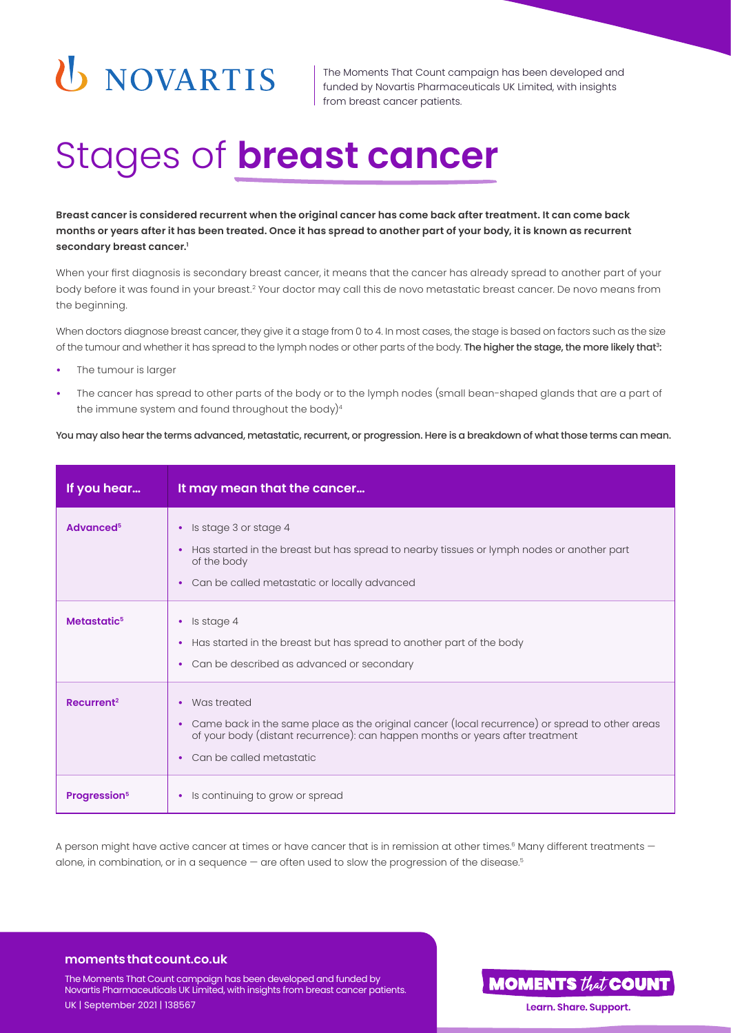# U NOVARTIS

The Moments That Count campaign has been developed and funded by Novartis Pharmaceuticals UK Limited, with insights from breast cancer patients.

### Stages of **breast cancer**

**Breast cancer is considered recurrent when the original cancer has come back after treatment. It can come back months or years after it has been treated. Once it has spread to another part of your body, it is known as recurrent secondary breast cancer.1**

When your first diagnosis is secondary breast cancer, it means that the cancer has already spread to another part of your body before it was found in your breast.2 Your doctor may call this de novo metastatic breast cancer. De novo means from the beginning.

When doctors diagnose breast cancer, they give it a stage from 0 to 4. In most cases, the stage is based on factors such as the size of the tumour and whether it has spread to the lymph nodes or other parts of the body. The higher the stage, the more likely that<sup>3</sup>:

- **•** The tumour is larger
- **•** The cancer has spread to other parts of the body or to the lymph nodes (small bean-shaped glands that are a part of the immune system and found throughout the body) $4$

You may also hear the terms advanced, metastatic, recurrent, or progression. Here is a breakdown of what those terms can mean.

| If you hear                     | It may mean that the cancer                                                                                                                                                                                                                  |
|---------------------------------|----------------------------------------------------------------------------------------------------------------------------------------------------------------------------------------------------------------------------------------------|
| Advanced <sup>5</sup>           | Is stage 3 or stage 4<br>$\bullet$<br>Has started in the breast but has spread to nearby tissues or lymph nodes or another part<br>of the body<br>Can be called metastatic or locally advanced<br>$\bullet$                                  |
| Metastatic <sup>5</sup>         | Is stage 4<br>$\bullet$<br>Has started in the breast but has spread to another part of the body<br>Can be described as advanced or secondary<br>٠                                                                                            |
| Recurrent <sup>2</sup>          | Was treated<br>٠<br>Came back in the same place as the original cancer (local recurrence) or spread to other areas<br>$\bullet$<br>of your body (distant recurrence): can happen months or years after treatment<br>Can be called metastatic |
| <b>Progression</b> <sup>5</sup> | Is continuing to grow or spread<br>٠                                                                                                                                                                                                         |

A person might have active cancer at times or have cancer that is in remission at other times.<sup>6</sup> Many different treatments alone, in combination, or in a sequence — are often used to slow the progression of the disease.<sup>5</sup>

### **moments that count.co.uk**

The Moments That Count campaign has been developed and funded by Novartis Pharmaceuticals UK Limited, with insights from breast cancer patients. UK | September 2021 | 138567